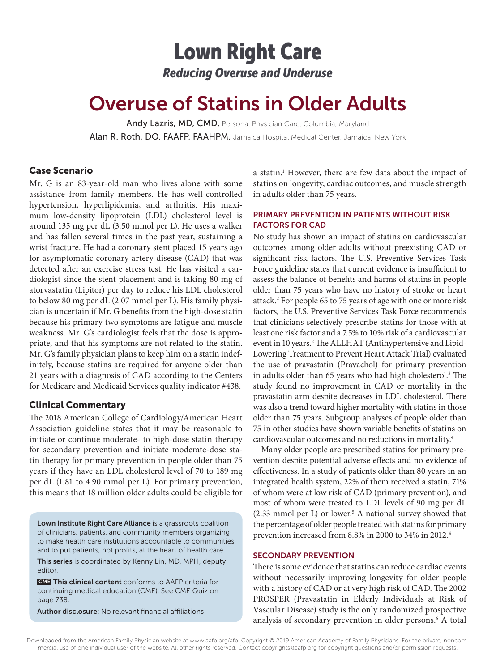## Lown Right Care *Reducing Overuse and Underuse*

# Overuse of Statins in Older Adults

Andy Lazris, MD, CMD, Personal Physician Care, Columbia, Maryland Alan R. Roth, DO, FAAFP, FAAHPM, Jamaica Hospital Medical Center, Jamaica, New York

## Case Scenario

Mr. G is an 83-year-old man who lives alone with some assistance from family members. He has well-controlled hypertension, hyperlipidemia, and arthritis. His maximum low-density lipoprotein (LDL) cholesterol level is around 135 mg per dL (3.50 mmol per L). He uses a walker and has fallen several times in the past year, sustaining a wrist fracture. He had a coronary stent placed 15 years ago for asymptomatic coronary artery disease (CAD) that was detected after an exercise stress test. He has visited a cardiologist since the stent placement and is taking 80 mg of atorvastatin (Lipitor) per day to reduce his LDL cholesterol to below 80 mg per dL (2.07 mmol per L). His family physician is uncertain if Mr. G benefits from the high-dose statin because his primary two symptoms are fatigue and muscle weakness. Mr. G's cardiologist feels that the dose is appropriate, and that his symptoms are not related to the statin. Mr. G's family physician plans to keep him on a statin indefinitely, because statins are required for anyone older than 21 years with a diagnosis of CAD according to the Centers for Medicare and Medicaid Services quality indicator #438.

#### Clinical Commentary

The 2018 American College of Cardiology/American Heart Association guideline states that it may be reasonable to initiate or continue moderate- to high-dose statin therapy for secondary prevention and initiate moderate-dose statin therapy for primary prevention in people older than 75 years if they have an LDL cholesterol level of 70 to 189 mg per dL (1.81 to 4.90 mmol per L). For primary prevention, this means that 18 million older adults could be eligible for

Lown Institute Right Care Alliance is a grassroots coalition of clinicians, patients, and community members organizing to make health care institutions accountable to communities and to put patients, not profits, at the heart of health care. This series is coordinated by Kenny Lin, MD, MPH, deputy editor.

 CME This clinical content conforms to AAFP criteria for continuing medical education (CME). See CME Quiz on page 738.

Author disclosure: No relevant financial affiliations.

a statin.<sup>1</sup> However, there are few data about the impact of statins on longevity, cardiac outcomes, and muscle strength in adults older than 75 years.

## PRIMARY PREVENTION IN PATIENTS WITHOUT RISK FACTORS FOR CAD

No study has shown an impact of statins on cardiovascular outcomes among older adults without preexisting CAD or significant risk factors. The U.S. Preventive Services Task Force guideline states that current evidence is insufficient to assess the balance of benefits and harms of statins in people older than 75 years who have no history of stroke or heart attack.2 For people 65 to 75 years of age with one or more risk factors, the U.S. Preventive Services Task Force recommends that clinicians selectively prescribe statins for those with at least one risk factor and a 7.5% to 10% risk of a cardiovascular event in 10 years.<sup>2</sup> The ALLHAT (Antihypertensive and Lipid-Lowering Treatment to Prevent Heart Attack Trial) evaluated the use of pravastatin (Pravachol) for primary prevention in adults older than 65 years who had high cholesterol.<sup>3</sup> The study found no improvement in CAD or mortality in the pravastatin arm despite decreases in LDL cholesterol. There was also a trend toward higher mortality with statins in those older than 75 years. Subgroup analyses of people older than 75 in other studies have shown variable benefits of statins on cardiovascular outcomes and no reductions in mortality.4

Many older people are prescribed statins for primary prevention despite potential adverse effects and no evidence of effectiveness. In a study of patients older than 80 years in an integrated health system, 22% of them received a statin, 71% of whom were at low risk of CAD (primary prevention), and most of whom were treated to LDL levels of 90 mg per dL (2.33 mmol per L) or lower.<sup>5</sup> A national survey showed that the percentage of older people treated with statins for primary prevention increased from 8.8% in 2000 to 34% in 2012.4

#### SECONDARY PREVENTION

There is some evidence that statins can reduce cardiac events without necessarily improving longevity for older people with a history of CAD or at very high risk of CAD. The 2002 PROSPER (Pravastatin in Elderly Individuals at Risk of Vascular Disease) study is the only randomized prospective analysis of secondary prevention in older persons.<sup>6</sup> A total